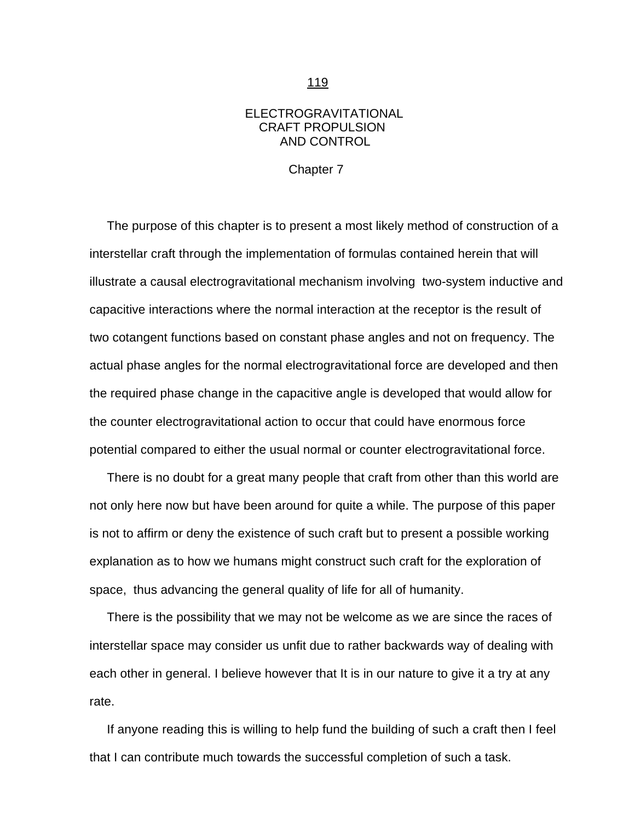## ELECTROGRAVITATIONAL CRAFT PROPULSION AND CONTROL

Chapter 7

<span id="page-0-0"></span> The purpose of this chapter is to present a most likely method of construction of a interstellar craft through the implementation of formulas contained herein that will illustrate a causal electrogravitational mechanism involving two-system inductive and capacitive interactions where the normal interaction at the receptor is the result of two cotangent functions based on constant phase angles and not on frequency. The actual phase angles for the normal electrogravitational force are developed and then the required phase change in the capacitive angle is developed that would allow for the counter electrogravitational action to occur that could have enormous force potential compared to either the usual normal or counter electrogravitational force.

 There is no doubt for a great many people that craft from other than this world are not only here now but have been around for quite a while. The purpose of this paper is not to affirm or deny the existence of such craft but to present a possible working explanation as to how we humans might construct such craft for the exploration of space, thus advancing the general quality of life for all of humanity.

 There is the possibility that we may not be welcome as we are since the races of interstellar space may consider us unfit due to rather backwards way of dealing with each other in general. I believe however that It is in our nature to give it a try at any rate.

 If anyone reading this is willing to help fund the building of such a craft then I feel that I can contribute much towards the successful completion of such a task.

119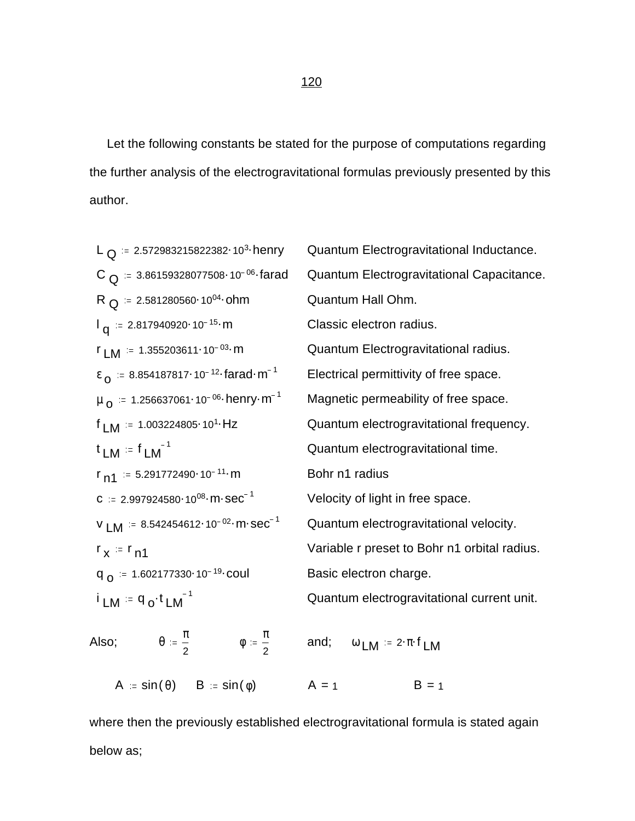Let the following constants be stated for the purpose of computations regarding the further analysis of the electrogravitational formulas previously presented by this author.

L<sub>Q</sub> := 2.572983215822382<sup>103</sup> herry Quantum Electrogravitational Inductance.  
\nC<sub>Q</sub> = 3.86159328077508<sup>-10<sup>-06</sup></sup> farad Quantum Electrogravitational Capacitance.  
\nR<sub>Q</sub> = 2.817940920<sup>-10<sup>-15</sup></sup> m  
\nL<sub>Q</sub> = 2.817940920<sup>-10<sup>-15</sup></sup> m  
\nL<sub>Q</sub> = 2.817940920<sup>-10<sup>-15</sup></sup> m  
\nL<sub>Q</sub> = 8.854187817<sup>-10<sup>-12</sup></sup> farad·m<sup>-1</sup>   
\nQuantum Electrogravitational radius.  
\nE<sub>Q</sub> = 8.854187817<sup>-10<sup>-12</sup></sup> farad·m<sup>-1</sup>   
\nElectrical permittivity of free space.  
\nL<sub>Q</sub> = 1.256637061<sup>-10<sup>-06</sup></sup> henry·m<sup>-1</sup>   
\nMagnetic permeability of free space.  
\n
$$
L_M = 1
$$
\nL<sub>M</sub> = 1.003224805<sup>-10<sup>-11</sup></sup> m  
\nL<sub>M</sub> = 1.003224805<sup>-10<sup>-11</sup></sup> m  
\nL<sub>M</sub> = 1.03224805<sup>-10<sup>-11</sup></sup> m  
\nL<sub>M</sub> = 8.542454612<sup>-10<sup>-02</sup></sup> m·sec<sup>-1</sup>   
\nQuantum electrogravitational velocity.  
\n
$$
L_M = 8.542454612-10-02 m·sec-1 \nVariable r preset to Bohr n1 orbital radius\nQQ = 1.602177330-10-19 coul\nBasic electron charge.\n
$$
L_M = 9
$$
\n
$$
L_M = 9
$$
\n
$$
L_M = 1
$$
\n<
$$

where then the previously established electrogravitational formula is stated again below as;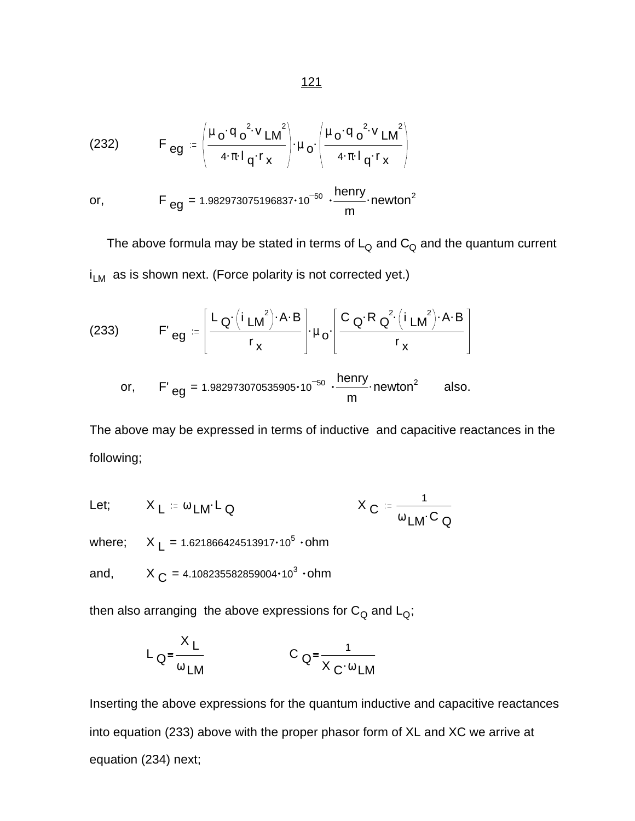(232) 
$$
F_{eg} = \left(\frac{\mu_0 \cdot q_0^2 \cdot v_{LM}}{4 \cdot \pi \cdot 1_q \cdot r_x}\right) \cdot \mu_0 \cdot \left(\frac{\mu_0 \cdot q_0^2 \cdot v_{LM}}{4 \cdot \pi \cdot 1_q \cdot r_x}\right)
$$
  
or, 
$$
F_{eg} = 1.982973075196837 \cdot 10^{-50} \cdot \frac{henry}{m} \cdot newton^2
$$

The above formula may be stated in terms of  $L_Q$  and  $C_Q$  and the quantum current  $i_{LM}$  as is shown next. (Force polarity is not corrected yet.)

(233) 
$$
F'_{eg} = \left[\frac{L_{Q'}(i_{LM}^{2}) \cdot A \cdot B}{r_{x}}\right] \cdot \mu_{o} \cdot \left[\frac{C_{Q} \cdot R_{Q}^{2}(i_{LM}^{2}) \cdot A \cdot B}{r_{x}}\right]
$$
  
or, 
$$
F'_{eg} = 1.982973070535905 \cdot 10^{-50} \cdot \frac{henry}{m} \cdot newton^{2} \text{ also.}
$$

The above may be expressed in terms of inductive and capacitive reactances in the following;

Let; 
$$
X_L := \omega_{LM} L_Q
$$
  $X_C := \frac{1}{\omega_{LM} C_Q}$   
where;  $X_L = 1.621866424513917 \cdot 10^5 \cdot \text{ohm}$   
and,  $X_C = 4.108235582859004 \cdot 10^3 \cdot \text{ohm}$ 

then also arranging the above expressions for  $C_Q$  and  $L_Q$ ;

$$
L_{Q} = \frac{X_{L}}{\omega_{LM}} \qquad C_{Q} = \frac{1}{X_{C} \cdot \omega_{LM}}
$$

Inserting the above expressions for the quantum inductive and capacitive reactances into equation (233) above with the proper phasor form of XL and XC we arrive at equation (234) next;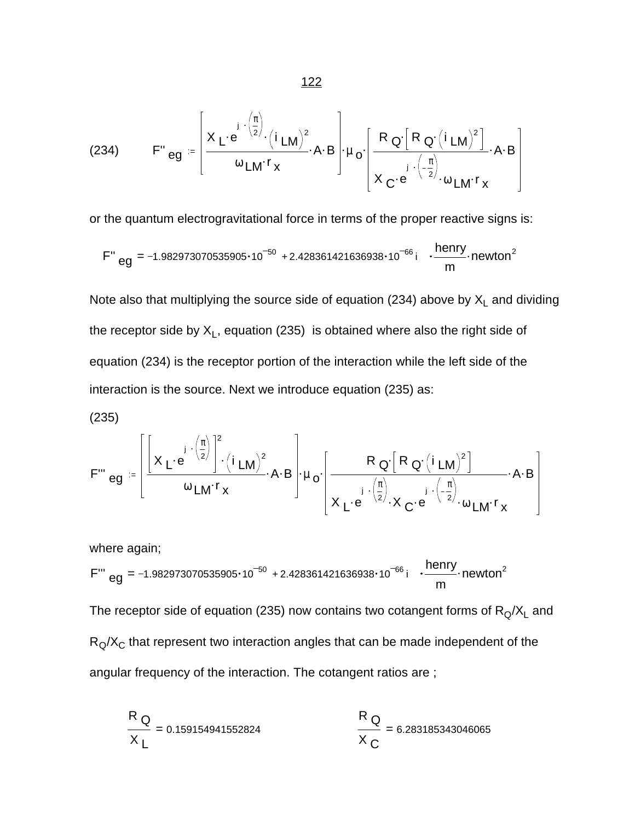(234) 
$$
F'' \text{eg} = \left[ \frac{X_L \cdot e^{j \cdot (\frac{\pi}{2})} \cdot (i_{LM})^2}{\omega_{LM} \cdot r_x} \cdot A \cdot B \right] \cdot \mu_o \cdot \left[ \frac{R_Q \cdot [R_Q \cdot (i_{LM})^2]}{X_C \cdot e^{j \cdot (\frac{\pi}{2})} \cdot \omega_{LM} \cdot r_x} \cdot A \cdot B \right]
$$

or the quantum electrogravitational force in terms of the proper reactive signs is:

$$
F''_{eg} = -1.982973070535905 \cdot 10^{-50} + 2.428361421636938 \cdot 10^{-66} i \cdot \frac{henny}{m} \cdot newton^2
$$

Note also that multiplying the source side of equation (234) above by  $\mathsf{X}_\mathsf{L}$  and dividing the receptor side by  $\mathsf{X}_\mathsf{L}$ , equation (235)  $\,$  is obtained where also the right side of equation (234) is the receptor portion of the interaction while the left side of the interaction is the source. Next we introduce equation (235) as:

(235)  
\n
$$
F''' \text{eg} = \left[ \frac{\left[ x \cdot e^{-\frac{j}{2}} \right]^2 \cdot (i \cdot LM)^2}{\omega LM^{r} x} \cdot A \cdot B \right] \cdot \mu_0 \cdot \left[ \frac{R_Q \left[ R_Q \cdot (i \cdot LM)^2 \right]}{x \cdot e^{-\frac{j}{2}} \cdot X_C \cdot e^{-\frac{j}{2}} \cdot (\frac{\pi}{2})} \cdot A \cdot B \right]
$$

where again; F''' eg = -1.982973070535905 $\cdot$ 10<sup>-50</sup> + 2.428361421636938 $\cdot$ 10<sup>-66</sup> i  $\cdot \frac{\text{henry}}{\text{m}}$ . m  $newton<sup>2</sup>$ The receptor side of equation (235) now contains two cotangent forms of  $\mathsf{R}_{\mathsf{Q}}\!/\mathsf{X}_\mathsf{L}$  and  $R_Q/X_C$  that represent two interaction angles that can be made independent of the angular frequency of the interaction. The cotangent ratios are ;

$$
\frac{R_{Q}}{X_{L}} = 0.159154941552824
$$
\n
$$
\frac{R_{Q}}{X_{C}} = 6.283185343046065
$$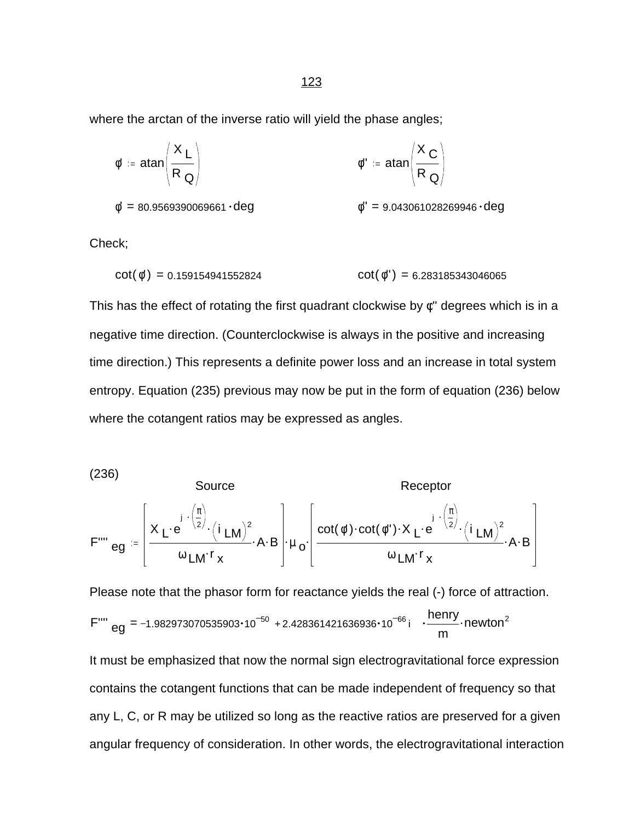where the arctan of the inverse ratio will yield the phase angles;

$$
\phi' := \text{atan}\left(\frac{X_L}{R_Q}\right)
$$
\n
$$
\phi'' := \text{atan}\left(\frac{X_C}{R_Q}\right)
$$
\n
$$
\phi'' := \text{atan}\left(\frac{X_C}{R_Q}\right)
$$
\n
$$
\phi'' = 9.043061028269946 \cdot \text{deg}
$$

Check;

$$
cot(\phi') = 0.159154941552824 \qquad \qquad cot(\phi'') = 6.283185343046065
$$

This has the effect of rotating the first quadrant clockwise by  $\phi$ " degrees which is in a negative time direction. (Counterclockwise is always in the positive and increasing time direction.) This represents a definite power loss and an increase in total system entropy. Equation (235) previous may now be put in the form of equation (236) below where the cotangent ratios may be expressed as angles.

(236)

Source  
\n
$$
\text{Receptor}
$$
\n
$$
F^{\text{rms}} \text{eg} = \left[ \frac{X_L \cdot e^{j \cdot (\frac{\pi}{2})} \cdot (i_{LM})^2}{\omega_{LM} \cdot r_x} \cdot A \cdot B \right] \cdot \mu_0 \cdot \left[ \frac{\cot(\phi') \cdot \cot(\phi'') \cdot X_L \cdot e^{j \cdot (\frac{\pi}{2})} \cdot (i_{LM})^2}{\omega_{LM} \cdot r_x} \cdot A \cdot B \right]
$$

Please note that the phasor form for reactance yields the real (-) force of attraction. F''' eg = -1.982973070535903 $\cdot$ 10<sup>-50</sup> + 2.428361421636936 $\cdot$ 10<sup>-66</sup> i  $\cdot \frac{\text{henry}}{\text{m}}$ . m newton $^2$ 

It must be emphasized that now the normal sign electrogravitational force expression contains the cotangent functions that can be made independent of frequency so that any L, C, or R may be utilized so long as the reactive ratios are preserved for a given angular frequency of consideration. In other words, the electrogravitational interaction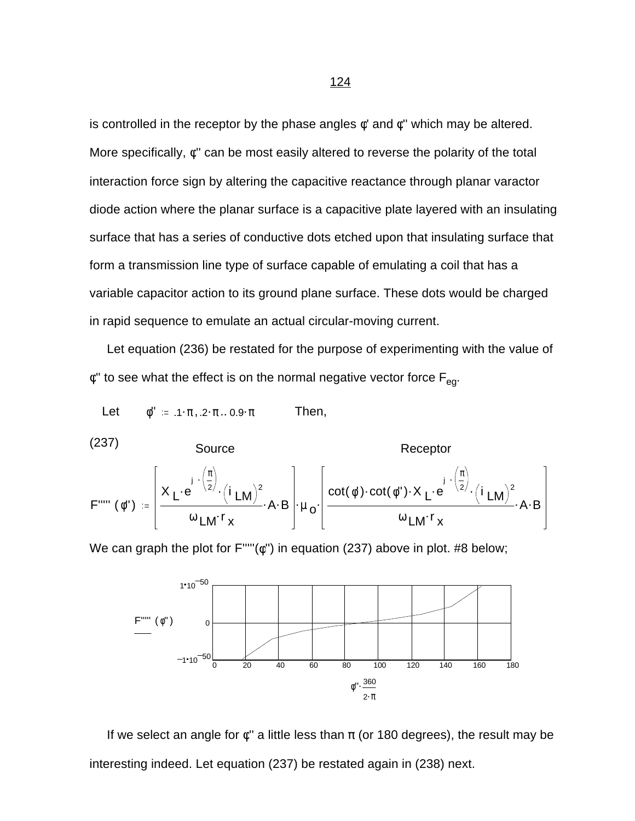is controlled in the receptor by the phase angles  $\phi'$  and  $\phi''$  which may be altered. More specifically, φ'' can be most easily altered to reverse the polarity of the total interaction force sign by altering the capacitive reactance through planar varactor diode action where the planar surface is a capacitive plate layered with an insulating surface that has a series of conductive dots etched upon that insulating surface that form a transmission line type of surface capable of emulating a coil that has a variable capacitor action to its ground plane surface. These dots would be charged in rapid sequence to emulate an actual circular-moving current.

 Let equation (236) be restated for the purpose of experimenting with the value of  $\phi$ " to see what the effect is on the normal negative vector force  $F_{\text{eq}}$ .

Let  $\phi' = 1 \cdot \pi$ ,  $2 \cdot \pi$ . 0.9  $\pi$  Then,

(237)  
\nSource  
\n
$$
h = \left[ X_L e^{j \cdot (\frac{\pi}{2})} \cdot (i_L M)^2 \cdot (A \cdot B) \cdot (i_L M)^2 \cdot (A \cdot B) \cdot (i_L M)^2 \cdot (A \cdot B) \cdot (i_L M)^2 \cdot (i_L M)^2 \cdot (i_L M)^2 \cdot (i_L M)^2 \cdot (i_L M)^2 \cdot (i_L M)^2 \cdot (i_L M)^2 \cdot (i_L M)^2 \cdot (i_L M)^2 \cdot (i_L M)^2 \cdot (i_L M)^2 \cdot (i_L M)^2 \cdot (i_L M)^2 \cdot (i_L M)^2 \cdot (i_L M)^2 \cdot (i_L M)^2 \cdot (i_L M)^2 \cdot (i_L M)^2 \cdot (i_L M)^2 \cdot (i_L M)^2 \cdot (i_L M)^2 \cdot (i_L M)^2 \cdot (i_L M)^2 \cdot (i_L M)^2 \cdot (i_L M)^2 \cdot (i_L M)^2 \cdot (i_L M)^2 \cdot (i_L M)^2 \cdot (i_L M)^2 \cdot (i_L M)^2 \cdot (i_L M)^2 \cdot (i_L M)^2 \cdot (i_L M)^2 \cdot (i_L M)^2 \cdot (i_L M)^2 \cdot (i_L M)^2 \cdot (i_L M)^2 \cdot (i_L M)^2 \cdot (i_L M)^2 \cdot (i_L M)^2 \cdot (i_L M)^2 \cdot (i_L M)^2 \cdot (i_L M)^2 \cdot (i_L M)^2 \cdot (i_L M)^2 \cdot (i_L M)^2 \cdot (i_L M)^2 \cdot (i_L M)^2 \cdot (i_L M)^2 \cdot (i_L M)^2 \cdot (i_L M)^2 \cdot (i_L M)^2 \cdot (i_L M)^2 \cdot (i_L M)^2 \cdot (i_L M)^2 \cdot (i_L M)^2 \cdot (i_L M)^2 \cdot (i_L M)^2 \cdot (i_L M)^2 \cdot (i_L M)^2 \cdot (i_L M)^2 \cdot (i_L M)^2 \cdot (i_L M)^2 \cdot (i_L M)^2 \cdot (i_L M)^2 \cdot (i_L M)^2 \cdot (i_L M)^2 \cdot (i_L M)^2 \cdot (i_L M)^2 \cdot (i_L M)^2 \cdot (i_L M)^2 \cdot (i_L M)^2 \cdot (i_L M)^2 \cdot (i_L M)^2 \cdot (i_L M)^2 \cdot (i_L M)^2 \cdot (i_L M)^2 \cdot (i_L M)^2 \cdot (i_L M)^2 \cdot (i_L M)^2 \cdot (i_L M)^2 \cdot (i_L M)^2 \cdot (i_L M)^2 \cdot (i_L M)^2 \cdot (i_L M)^
$$

We can graph the plot for F'''''(φ'') in equation (237) above in plot. #8 below;



If we select an angle for  $\phi$ " a little less than  $\pi$  (or 180 degrees), the result may be interesting indeed. Let equation (237) be restated again in (238) next.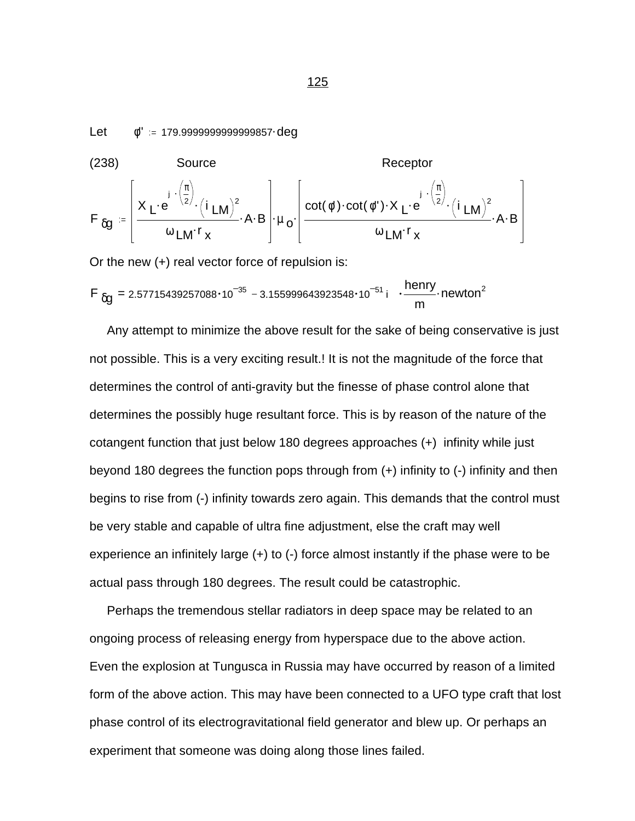$Let$  $\phi$ " = 179.99999999999999857 deg

(238) Source  
\n
$$
F_{\delta g} = \left[ \frac{X_L \cdot e^{-\frac{i}{2} \cdot (\frac{\pi}{2})}}{\omega_{LM} r_x} \cdot A \cdot B \right] \cdot \mu_o \cdot \left[ \frac{\cot(\phi') \cdot \cot(\phi'') \cdot X_L \cdot e^{-\frac{i}{2} \cdot (\frac{\pi}{2})}}{\omega_{LM} r_x} \cdot A \cdot B \right]
$$

Or the new (+) real vector force of repulsion is:

$$
F_{\delta g} = 2.57715439257088 \cdot 10^{-35} - 3.155999643923548 \cdot 10^{-51} i \cdot \frac{henny}{m} \cdot newton^2
$$

 Any attempt to minimize the above result for the sake of being conservative is just not possible. This is a very exciting result.! It is not the magnitude of the force that determines the control of anti-gravity but the finesse of phase control alone that determines the possibly huge resultant force. This is by reason of the nature of the cotangent function that just below 180 degrees approaches (+) infinity while just beyond 180 degrees the function pops through from (+) infinity to (-) infinity and then begins to rise from (-) infinity towards zero again. This demands that the control must be very stable and capable of ultra fine adjustment, else the craft may well experience an infinitely large (+) to (-) force almost instantly if the phase were to be actual pass through 180 degrees. The result could be catastrophic.

 Perhaps the tremendous stellar radiators in deep space may be related to an ongoing process of releasing energy from hyperspace due to the above action. Even the explosion at Tungusca in Russia may have occurred by reason of a limited form of the above action. This may have been connected to a UFO type craft that lost phase control of its electrogravitational field generator and blew up. Or perhaps an experiment that someone was doing along those lines failed.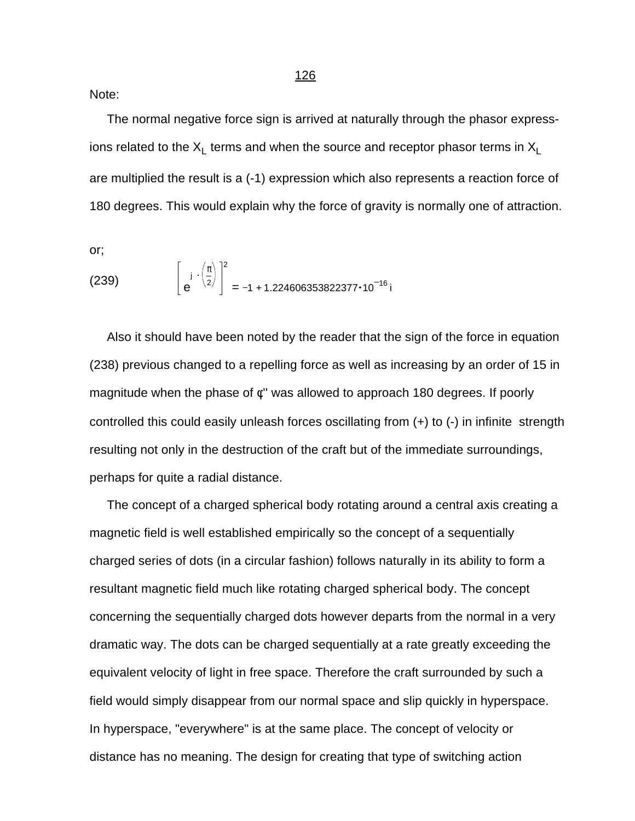Note:

 The normal negative force sign is arrived at naturally through the phasor expressions related to the  $\mathsf{X}_\mathsf{L}$  terms and when the source and receptor phasor terms in  $\mathsf{X}_\mathsf{L}$ are multiplied the result is a (-1) expression which also represents a reaction force of 180 degrees. This would explain why the force of gravity is normally one of attraction.

or;

(239) 
$$
\left[e^{j \cdot \left(\frac{\pi}{2}\right)}\right]^2 = -1 + 1.224606353822377 \cdot 10^{-16} i
$$

 Also it should have been noted by the reader that the sign of the force in equation (238) previous changed to a repelling force as well as increasing by an order of 15 in magnitude when the phase of φ'' was allowed to approach 180 degrees. If poorly controlled this could easily unleash forces oscillating from (+) to (-) in infinite strength resulting not only in the destruction of the craft but of the immediate surroundings, perhaps for quite a radial distance.

 The concept of a charged spherical body rotating around a central axis creating a magnetic field is well established empirically so the concept of a sequentially charged series of dots (in a circular fashion) follows naturally in its ability to form a resultant magnetic field much like rotating charged spherical body. The concept concerning the sequentially charged dots however departs from the normal in a very dramatic way. The dots can be charged sequentially at a rate greatly exceeding the equivalent velocity of light in free space. Therefore the craft surrounded by such a field would simply disappear from our normal space and slip quickly in hyperspace. In hyperspace, "everywhere" is at the same place. The concept of velocity or distance has no meaning. The design for creating that type of switching action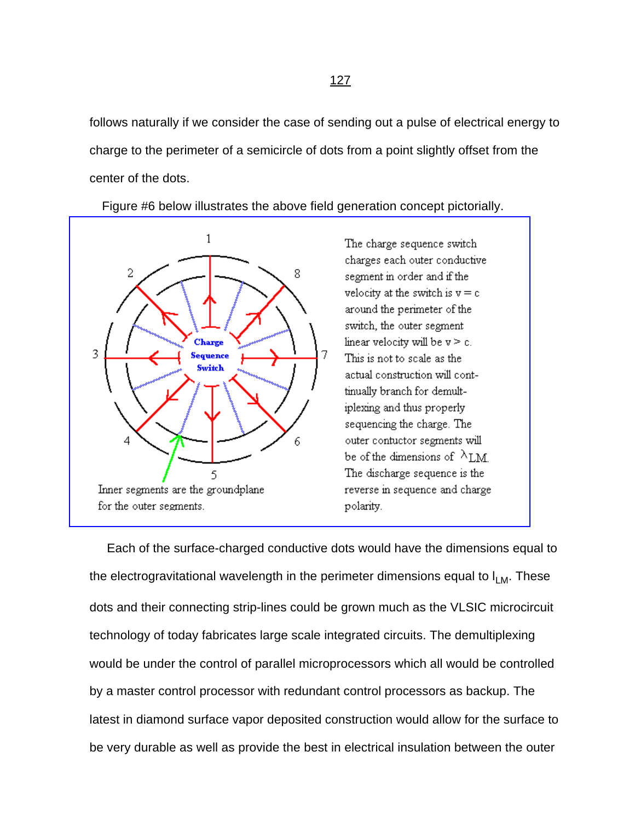follows naturally if we consider the case of sending out a pulse of electrical energy to charge to the perimeter of a semicircle of dots from a point slightly offset from the center of the dots.

Figure #6 below illustrates the above field generation concept pictorially.



Inner segments are the groundplane for the outer segments.

The charge sequence switch charges each outer conductive segment in order and if the velocity at the switch is  $v = c$ around the perimeter of the switch, the outer segment linear velocity will be  $v > c$ . This is not to scale as the actual construction will conttinually branch for demultiplexing and thus properly sequencing the charge. The outer contuctor segments will be of the dimensions of  $\lambda_{LM}$ The discharge sequence is the reverse in sequence and charge. polarity.

 Each of the surface-charged conductive dots would have the dimensions equal to the electrogravitational wavelength in the perimeter dimensions equal to  $I_{LM}$ . These dots and their connecting strip-lines could be grown much as the VLSIC microcircuit technology of today fabricates large scale integrated circuits. The demultiplexing would be under the control of parallel microprocessors which all would be controlled by a master control processor with redundant control processors as backup. The latest in diamond surface vapor deposited construction would allow for the surface to be very durable as well as provide the best in electrical insulation between the outer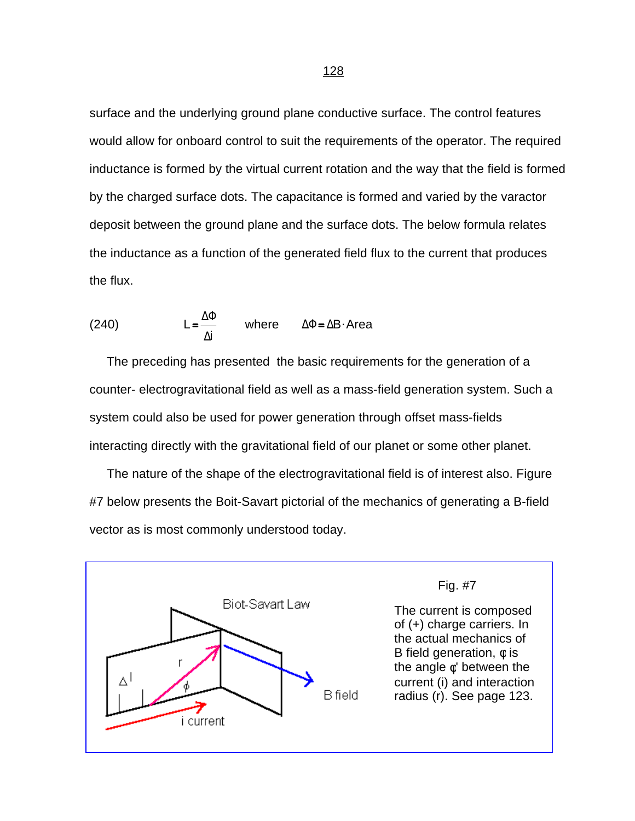surface and the underlying ground plane conductive surface. The control features would allow for onboard control to suit the requirements of the operator. The required inductance is formed by the virtual current rotation and the way that the field is formed by the charged surface dots. The capacitance is formed and varied by the varactor deposit between the ground plane and the surface dots. The below formula relates the inductance as a function of the generated field flux to the current that produces the flux.

(240) 
$$
L = \frac{\Delta \Phi}{\Delta i} \quad \text{where} \quad \Delta \Phi = \Delta B \cdot \text{Area}
$$

 The preceding has presented the basic requirements for the generation of a counter- electrogravitational field as well as a mass-field generation system. Such a system could also be used for power generation through offset mass-fields interacting directly with the gravitational field of our planet or some other planet.

 The nature of the shape of the electrogravitational field is of interest also. Figure #7 below presents the Boit-Savart pictorial of the mechanics of generating a B-field vector as is most commonly understood today.



Fig. #7

The current is composed of (+) charge carriers. In the actual mechanics of B field generation,  $\phi$  is the angle  $\phi'$  between the [current \(i\) and interaction](#page-0-0)  radius (r). See page 123.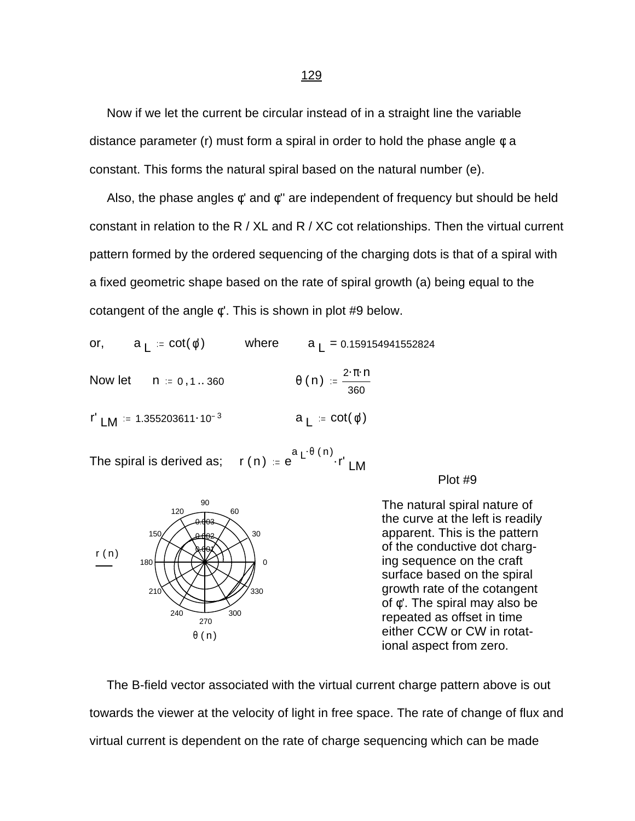Now if we let the current be circular instead of in a straight line the variable distance parameter (r) must form a spiral in order to hold the phase angle  $\phi$  a constant. This forms the natural spiral based on the natural number (e).

Also, the phase angles  $\phi'$  and  $\phi''$  are independent of frequency but should be held constant in relation to the R / XL and R / XC cot relationships. Then the virtual current pattern formed by the ordered sequencing of the charging dots is that of a spiral with a fixed geometric shape based on the rate of spiral growth (a) being equal to the cotangent of the angle φ'. This is shown in plot #9 below.

or, 
$$
a_L = \cot(\phi')
$$
 where  $a_L = 0.159154941552824$   
\nNow let  $n := 0, 1...360$   $\theta(n) := \frac{2 \cdot \pi \cdot n}{360}$   
\n $\Gamma' L M := 1.355203611 \cdot 10^{-3}$   $a_L = \cot(\phi')$ 

The spiral is derived as; a <sub>L</sub>.θ (n) r' LM

Plot #9



The natural spiral nature of the curve at the left is readily apparent. This is the pattern of the conductive dot charging sequence on the craft surface based on the spiral growth rate of the cotangent of φ'. The spiral may also be repeated as offset in time either CCW or CW in rotational aspect from zero.

 The B-field vector associated with the virtual current charge pattern above is out towards the viewer at the velocity of light in free space. The rate of change of flux and virtual current is dependent on the rate of charge sequencing which can be made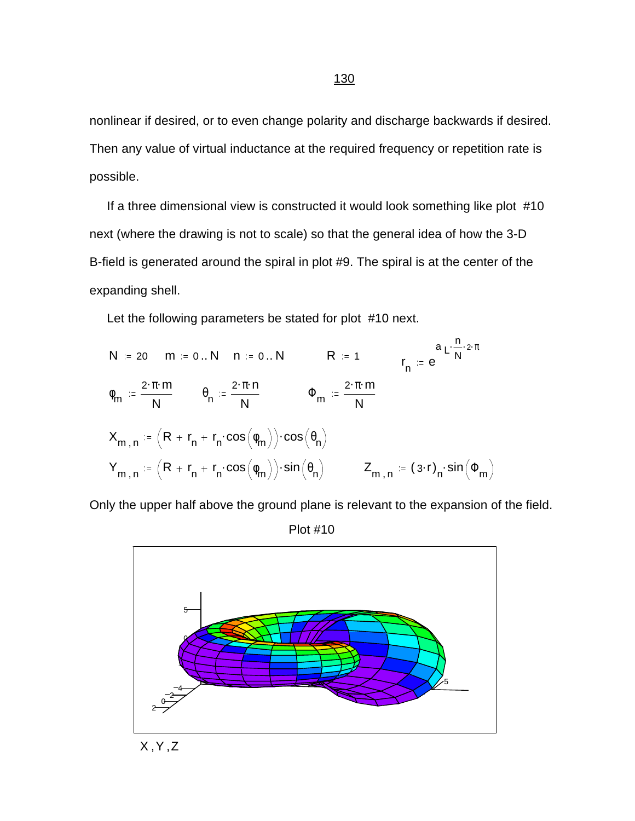nonlinear if desired, or to even change polarity and discharge backwards if desired. Then any value of virtual inductance at the required frequency or repetition rate is possible.

 If a three dimensional view is constructed it would look something like plot #10 next (where the drawing is not to scale) so that the general idea of how the 3-D B-field is generated around the spiral in plot #9. The spiral is at the center of the expanding shell.

Let the following parameters be stated for plot #10 next.

$$
N := 20 \quad m := 0..N \quad n := 0..N \qquad R := 1 \qquad \qquad r_n := e^{a \sum_{i=1}^{n} 2 \cdot \pi}
$$
\n
$$
\phi_m := \frac{2 \cdot \pi \cdot m}{N} \qquad \phi_n := \frac{2 \cdot \pi \cdot n}{N} \qquad \qquad \Phi_m := \frac{2 \cdot \pi \cdot m}{N}
$$
\n
$$
X_{m,n} := \left(R + r_n + r_n \cdot \cos\left(\phi_m\right)\right) \cdot \cos\left(\theta_n\right)
$$
\n
$$
Y_{m,n} := \left(R + r_n + r_n \cdot \cos\left(\phi_m\right)\right) \cdot \sin\left(\theta_n\right) \qquad Z_{m,n} := (3 \cdot r)_n \cdot \sin\left(\Phi_m\right)
$$

Only the upper half above the ground plane is relevant to the expansion of the field.

0 5 4 2 0 2 5  $\mathsf{\Omega}$ 5

X ,Y ,Z

Plot #10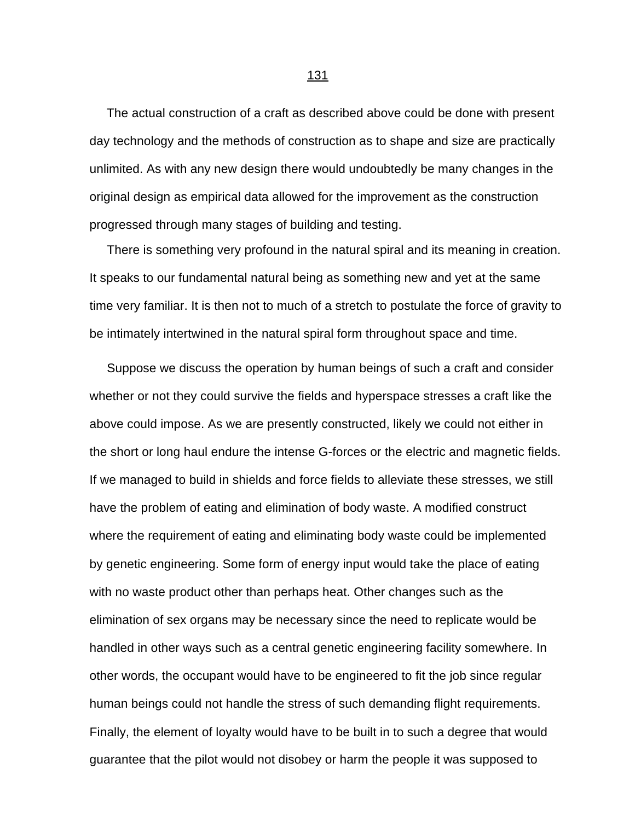The actual construction of a craft as described above could be done with present day technology and the methods of construction as to shape and size are practically unlimited. As with any new design there would undoubtedly be many changes in the original design as empirical data allowed for the improvement as the construction progressed through many stages of building and testing.

 There is something very profound in the natural spiral and its meaning in creation. It speaks to our fundamental natural being as something new and yet at the same time very familiar. It is then not to much of a stretch to postulate the force of gravity to be intimately intertwined in the natural spiral form throughout space and time.

 Suppose we discuss the operation by human beings of such a craft and consider whether or not they could survive the fields and hyperspace stresses a craft like the above could impose. As we are presently constructed, likely we could not either in the short or long haul endure the intense G-forces or the electric and magnetic fields. If we managed to build in shields and force fields to alleviate these stresses, we still have the problem of eating and elimination of body waste. A modified construct where the requirement of eating and eliminating body waste could be implemented by genetic engineering. Some form of energy input would take the place of eating with no waste product other than perhaps heat. Other changes such as the elimination of sex organs may be necessary since the need to replicate would be handled in other ways such as a central genetic engineering facility somewhere. In other words, the occupant would have to be engineered to fit the job since regular human beings could not handle the stress of such demanding flight requirements. Finally, the element of loyalty would have to be built in to such a degree that would guarantee that the pilot would not disobey or harm the people it was supposed to